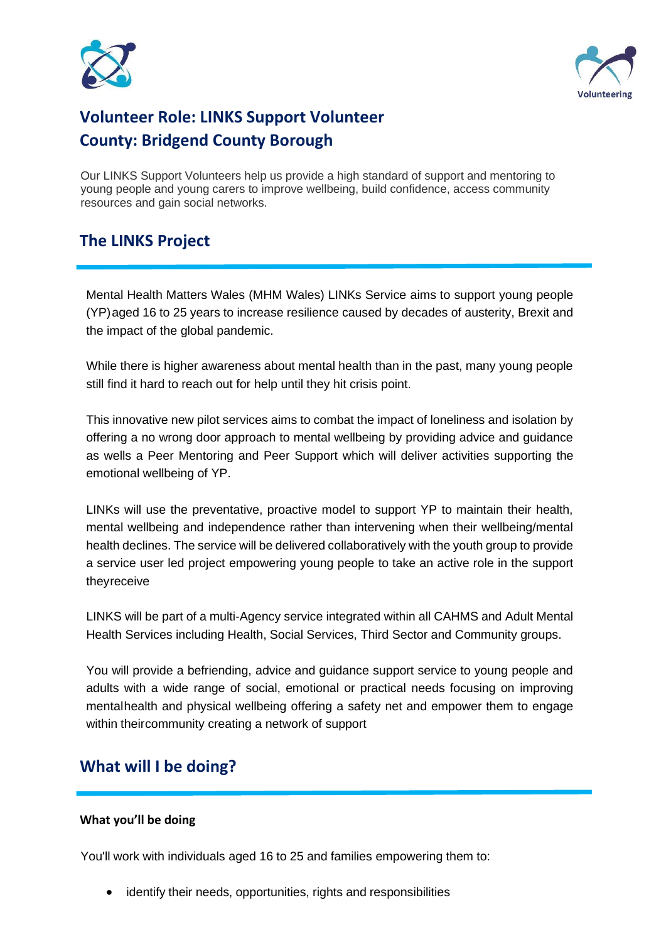



# **Volunteer Role: LINKS Support Volunteer County: Bridgend County Borough**

Our LINKS Support Volunteers help us provide a high standard of support and mentoring to young people and young carers to improve wellbeing, build confidence, access community resources and gain social networks.

#### **The LINKS Project**

Mental Health Matters Wales (MHM Wales) LINKs Service aims to support young people (YP)aged 16 to 25 years to increase resilience caused by decades of austerity, Brexit and the impact of the global pandemic.

While there is higher awareness about mental health than in the past, many young people still find it hard to reach out for help until they hit crisis point.

This innovative new pilot services aims to combat the impact of loneliness and isolation by offering a no wrong door approach to mental wellbeing by providing advice and guidance as wells a Peer Mentoring and Peer Support which will deliver activities supporting the emotional wellbeing of YP.

LINKs will use the preventative, proactive model to support YP to maintain their health, mental wellbeing and independence rather than intervening when their wellbeing/mental health declines. The service will be delivered collaboratively with the youth group to provide a service user led project empowering young people to take an active role in the support theyreceive

LINKS will be part of a multi-Agency service integrated within all CAHMS and Adult Mental Health Services including Health, Social Services, Third Sector and Community groups.

You will provide a befriending, advice and guidance support service to young people and adults with a wide range of social, emotional or practical needs focusing on improving mentalhealth and physical wellbeing offering a safety net and empower them to engage within theircommunity creating a network of support

#### **What will I be doing?**

#### **What you'll be doing**

You'll work with individuals aged 16 to 25 and families empowering them to:

• identify their needs, opportunities, rights and responsibilities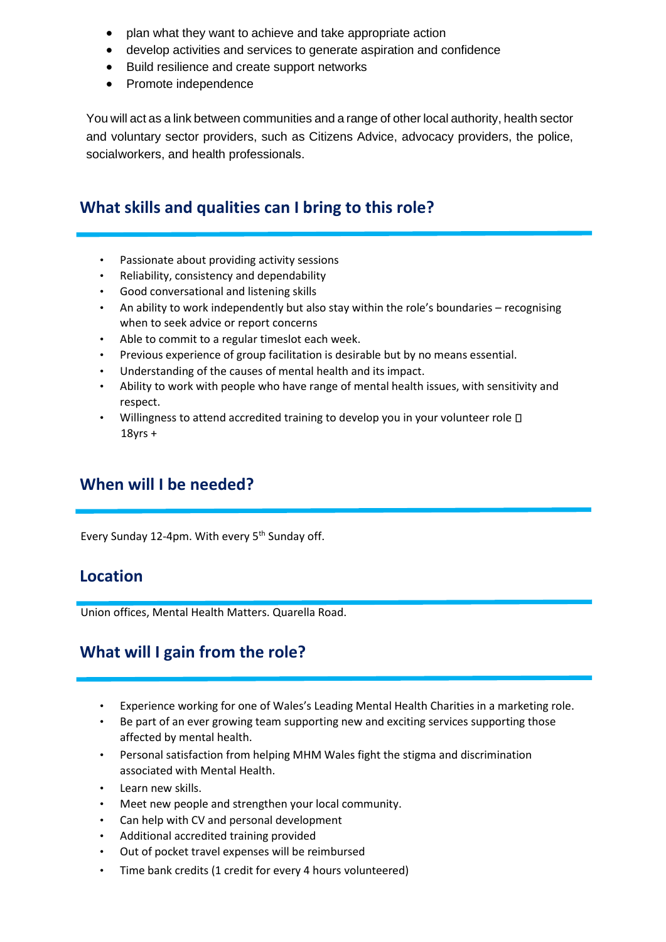- plan what they want to achieve and take appropriate action
- develop activities and services to generate aspiration and confidence
- Build resilience and create support networks
- Promote independence

You will act as a link between communities and a range of other local authority, health sector and voluntary sector providers, such as Citizens Advice, advocacy providers, the police, socialworkers, and health professionals.

#### **What skills and qualities can I bring to this role?**

- Passionate about providing activity sessions
- Reliability, consistency and dependability
- Good conversational and listening skills
- An ability to work independently but also stay within the role's boundaries recognising when to seek advice or report concerns
- Able to commit to a regular timeslot each week.
- Previous experience of group facilitation is desirable but by no means essential.
- Understanding of the causes of mental health and its impact.
- Ability to work with people who have range of mental health issues, with sensitivity and respect.
- Willingness to attend accredited training to develop you in your volunteer role  $\square$ 18yrs +

#### **When will I be needed?**

Every Sunday 12-4pm. With every  $5<sup>th</sup>$  Sunday off.

#### **Location**

Union offices, Mental Health Matters. Quarella Road.

## **What will I gain from the role?**

- Experience working for one of Wales's Leading Mental Health Charities in a marketing role.
- Be part of an ever growing team supporting new and exciting services supporting those affected by mental health.
- Personal satisfaction from helping MHM Wales fight the stigma and discrimination associated with Mental Health.
- Learn new skills.
- Meet new people and strengthen your local community.
- Can help with CV and personal development
- Additional accredited training provided
- Out of pocket travel expenses will be reimbursed
- Time bank credits (1 credit for every 4 hours volunteered)